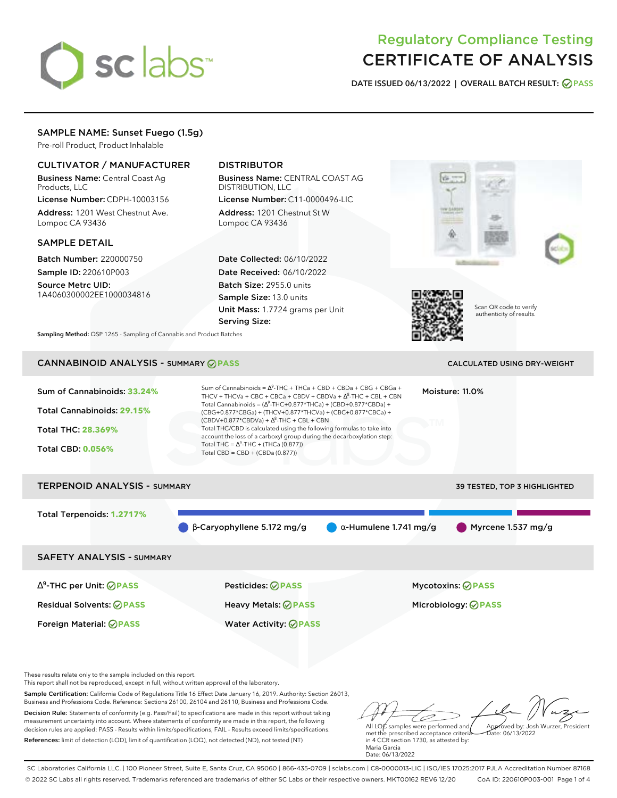# sclabs<sup>\*</sup>

# Regulatory Compliance Testing CERTIFICATE OF ANALYSIS

**DATE ISSUED 06/13/2022 | OVERALL BATCH RESULT: PASS**

# SAMPLE NAME: Sunset Fuego (1.5g)

Pre-roll Product, Product Inhalable

# CULTIVATOR / MANUFACTURER

Business Name: Central Coast Ag Products, LLC

License Number: CDPH-10003156 Address: 1201 West Chestnut Ave. Lompoc CA 93436

# SAMPLE DETAIL

Batch Number: 220000750 Sample ID: 220610P003

Source Metrc UID: 1A4060300002EE1000034816

# DISTRIBUTOR

Business Name: CENTRAL COAST AG DISTRIBUTION, LLC License Number: C11-0000496-LIC

Address: 1201 Chestnut St W Lompoc CA 93436

Date Collected: 06/10/2022 Date Received: 06/10/2022 Batch Size: 2955.0 units Sample Size: 13.0 units Unit Mass: 1.7724 grams per Unit Serving Size:





Scan QR code to verify authenticity of results.

**Sampling Method:** QSP 1265 - Sampling of Cannabis and Product Batches

# CANNABINOID ANALYSIS - SUMMARY **PASS** CALCULATED USING DRY-WEIGHT

| Sum of Cannabinoids: 33.24%<br>Total Cannabinoids: 29.15%<br>Total THC: 28.369%<br><b>Total CBD: 0.056%</b> | Sum of Cannabinoids = $\Delta^9$ -THC + THCa + CBD + CBDa + CBG + CBGa +<br>THCV + THCVa + CBC + CBCa + CBDV + CBDVa + $\Delta^8$ -THC + CBL + CBN<br>Total Cannabinoids = $(\Delta^9$ -THC+0.877*THCa) + (CBD+0.877*CBDa) +<br>(CBG+0.877*CBGa) + (THCV+0.877*THCVa) + (CBC+0.877*CBCa) +<br>$(CBDV+0.877*CBDVa) + \Delta^8$ -THC + CBL + CBN<br>Total THC/CBD is calculated using the following formulas to take into<br>account the loss of a carboxyl group during the decarboxylation step:<br>Total THC = $\Delta^9$ -THC + (THCa (0.877))<br>Total CBD = CBD + (CBDa (0.877)) |                               | Moisture: 11.0%                                        |
|-------------------------------------------------------------------------------------------------------------|--------------------------------------------------------------------------------------------------------------------------------------------------------------------------------------------------------------------------------------------------------------------------------------------------------------------------------------------------------------------------------------------------------------------------------------------------------------------------------------------------------------------------------------------------------------------------------------|-------------------------------|--------------------------------------------------------|
| <b>TERPENOID ANALYSIS - SUMMARY</b>                                                                         |                                                                                                                                                                                                                                                                                                                                                                                                                                                                                                                                                                                      |                               | 39 TESTED, TOP 3 HIGHLIGHTED                           |
| Total Terpenoids: 1.2717%                                                                                   | $\beta$ -Caryophyllene 5.172 mg/g                                                                                                                                                                                                                                                                                                                                                                                                                                                                                                                                                    | $\alpha$ -Humulene 1.741 mg/g | Myrcene 1.537 mg/g                                     |
| <b>SAFETY ANALYSIS - SUMMARY</b>                                                                            |                                                                                                                                                                                                                                                                                                                                                                                                                                                                                                                                                                                      |                               |                                                        |
| $\Delta^9$ -THC per Unit: $\oslash$ PASS<br><b>Residual Solvents: ⊘PASS</b>                                 | Pesticides: ⊘PASS<br><b>Heavy Metals: ⊘ PASS</b>                                                                                                                                                                                                                                                                                                                                                                                                                                                                                                                                     |                               | <b>Mycotoxins: ⊘PASS</b><br>Microbiology: <b>⊘PASS</b> |

These results relate only to the sample included on this report.

This report shall not be reproduced, except in full, without written approval of the laboratory.

Sample Certification: California Code of Regulations Title 16 Effect Date January 16, 2019. Authority: Section 26013, Business and Professions Code. Reference: Sections 26100, 26104 and 26110, Business and Professions Code.

Decision Rule: Statements of conformity (e.g. Pass/Fail) to specifications are made in this report without taking measurement uncertainty into account. Where statements of conformity are made in this report, the following decision rules are applied: PASS - Results within limits/specifications, FAIL - Results exceed limits/specifications. References: limit of detection (LOD), limit of quantification (LOQ), not detected (ND), not tested (NT)

Foreign Material: **PASS** Water Activity: **PASS**

All LQC samples were performed and Approved by: Josh Wurzer, President Date: 06/13/2022

met the prescribed acceptance criteria in 4 CCR section 1730, as attested by: Maria Garcia Date: 06/13/2022

SC Laboratories California LLC. | 100 Pioneer Street, Suite E, Santa Cruz, CA 95060 | 866-435-0709 | sclabs.com | C8-0000013-LIC | ISO/IES 17025:2017 PJLA Accreditation Number 87168 © 2022 SC Labs all rights reserved. Trademarks referenced are trademarks of either SC Labs or their respective owners. MKT00162 REV6 12/20 CoA ID: 220610P003-001 Page 1 of 4